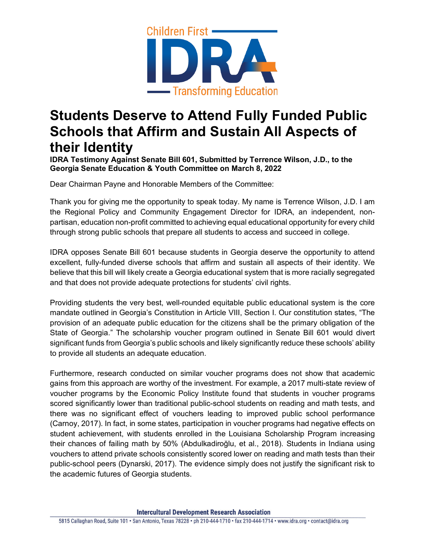

## **Students Deserve to Attend Fully Funded Public Schools that Affirm and Sustain All Aspects of their Identity**

**IDRA Testimony Against Senate Bill 601, Submitted by Terrence Wilson, J.D., to the Georgia Senate Education & Youth Committee on March 8, 2022**

Dear Chairman Payne and Honorable Members of the Committee:

Thank you for giving me the opportunity to speak today. My name is Terrence Wilson, J.D. I am the Regional Policy and Community Engagement Director for IDRA, an independent, nonpartisan, education non-profit committed to achieving equal educational opportunity for every child through strong public schools that prepare all students to access and succeed in college.

IDRA opposes Senate Bill 601 because students in Georgia deserve the opportunity to attend excellent, fully-funded diverse schools that affirm and sustain all aspects of their identity. We believe that this bill will likely create a Georgia educational system that is more racially segregated and that does not provide adequate protections for students' civil rights.

Providing students the very best, well-rounded equitable public educational system is the core mandate outlined in Georgia's Constitution in Article VIII, Section I. Our constitution states, "The provision of an adequate public education for the citizens shall be the primary obligation of the State of Georgia." The scholarship voucher program outlined in Senate Bill 601 would divert significant funds from Georgia's public schools and likely significantly reduce these schools' ability to provide all students an adequate education.

Furthermore, research conducted on similar voucher programs does not show that academic gains from this approach are worthy of the investment. For example, a 2017 multi-state review of voucher programs by the Economic Policy Institute found that students in voucher programs scored significantly lower than traditional public-school students on reading and math tests, and there was no significant effect of vouchers leading to improved public school performance (Carnoy, 2017). In fact, in some states, participation in voucher programs had negative effects on student achievement, with students enrolled in the Louisiana Scholarship Program increasing their chances of failing math by 50% (Abdulkadiroğlu, et al., 2018). Students in Indiana using vouchers to attend private schools consistently scored lower on reading and math tests than their public-school peers (Dynarski, 2017). The evidence simply does not justify the significant risk to the academic futures of Georgia students.

**Intercultural Development Research Association**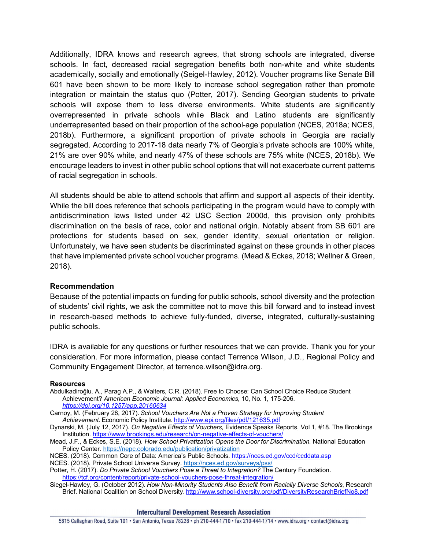Additionally, IDRA knows and research agrees, that strong schools are integrated, diverse schools. In fact, decreased racial segregation benefits both non-white and white students academically, socially and emotionally (Seigel-Hawley, 2012). Voucher programs like Senate Bill 601 have been shown to be more likely to increase school segregation rather than promote integration or maintain the status quo (Potter, 2017). Sending Georgian students to private schools will expose them to less diverse environments. White students are significantly overrepresented in private schools while Black and Latino students are significantly underrepresented based on their proportion of the school-age population (NCES, 2018a; NCES, 2018b). Furthermore, a significant proportion of private schools in Georgia are racially segregated. According to 2017-18 data nearly 7% of Georgia's private schools are 100% white, 21% are over 90% white, and nearly 47% of these schools are 75% white (NCES, 2018b). We encourage leaders to invest in other public school options that will not exacerbate current patterns of racial segregation in schools.

All students should be able to attend schools that affirm and support all aspects of their identity. While the bill does reference that schools participating in the program would have to comply with antidiscrimination laws listed under 42 USC Section 2000d, this provision only prohibits discrimination on the basis of race, color and national origin. Notably absent from SB 601 are protections for students based on sex, gender identity, sexual orientation or religion. Unfortunately, we have seen students be discriminated against on these grounds in other places that have implemented private school voucher programs. (Mead & Eckes, 2018; Wellner & Green, 2018).

## **Recommendation**

Because of the potential impacts on funding for public schools, school diversity and the protection of students' civil rights, we ask the committee not to move this bill forward and to instead invest in research-based methods to achieve fully-funded, diverse, integrated, culturally-sustaining public schools.

IDRA is available for any questions or further resources that we can provide. Thank you for your consideration. For more information, please contact Terrence Wilson, J.D., Regional Policy and Community Engagement Director, at terrence.wilson@idra.org.

## **Resources**

- Abdulkadiroğlu, A., Parag A.P., & Walters, C.R. (2018). Free to Choose: Can School Choice Reduce Student Achievement? *American Economic Journal: Applied Economics,* 10, No. 1, 175-206. *<https://doi.org/10.1257/app.20160634>*
- Carnoy, M. (February 28, 2017). *School Vouchers Are Not a Proven Strategy for Improving Student Achievement.* Economic Policy Institute. <http://www.epi.org/files/pdf/121635.pdf>
- Dynarski, M. (July 12, 2017). *On Negative Effects of Vouchers,* Evidence Speaks Reports, Vol 1, #18. The Brookings Institution. <https://www.brookings.edu/research/on-negative-effects-of-vouchers/>
- Mead, J.F., & Eckes, S.E. (2018). *How School Privatization Opens the Door for Discrimination*. National Education Policy Center. <https://nepc.colorado.edu/publication/privatization>
- NCES. (2018). Common Core of Data: America's Public Schools. <https://nces.ed.gov/ccd/ccddata.asp>
- NCES. (2018). Private School Universe Survey[. https://nces.ed.gov/surveys/pss/](https://nces.ed.gov/surveys/pss/)
- Potter, H. (2017). *Do Private School Vouchers Pose a Threat to Integration?* The Century Foundation. <https://tcf.org/content/report/private-school-vouchers-pose-threat-integration/>
- Siegel-Hawley, G. (October 2012). *How Non-Minority Students Also Benefit from Racially Diverse Schools*, Research Brief. National Coalition on School Diversity. http://www.school-diversity.org/pdf/DiversityResearchBriefNo8.pdf

## **Intercultural Development Research Association**